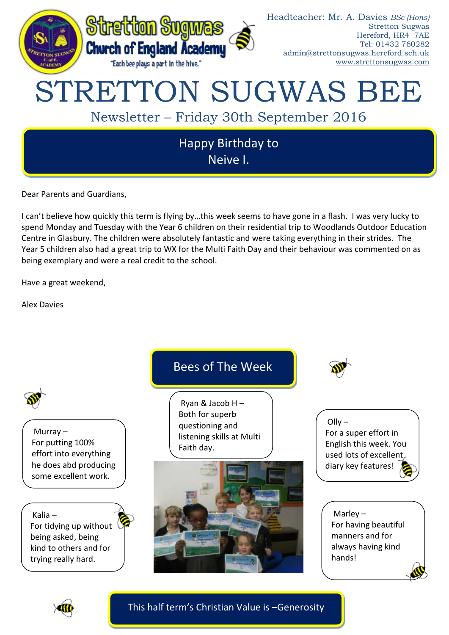

Dear Parents and Guardians,

I can't believe how quickly this term is flying by…this week seems to have gone in a flash. I was very lucky to spend Monday and Tuesday with the Year 6 children on their residential trip to Woodlands Outdoor Education Centre in Glasbury. The children were absolutely fantastic and were taking everything in their strides. The Year 5 children also had a great trip to WX for the Multi Faith Day and their behaviour was commented on as being exemplary and were a real credit to the school.

Have a great weekend,

Alex Davies



This half term's Christian Value is –Generosity